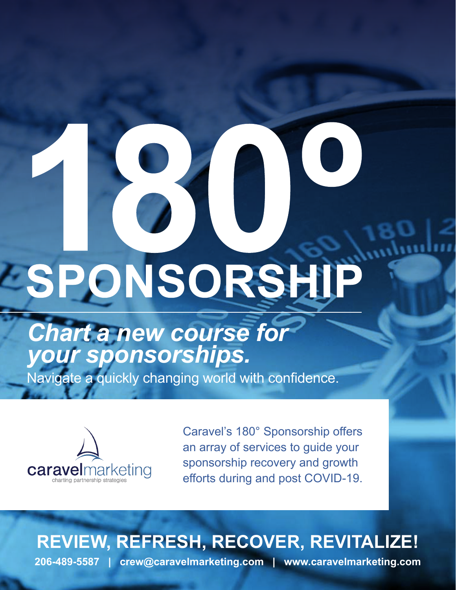# SPONSORSHIP

# *Chart a new course for your sponsorships.*

Navigate a quickly changing world with confidence.



Caravel's 180° Sponsorship offers an array of services to guide your sponsorship recovery and growth efforts during and post COVID-19.

### **REVIEW, REFRESH, RECOVER, REVITALIZE!**

**206-489-5587 | crew@caravelmarketing.com | www.caravelmarketing.com**